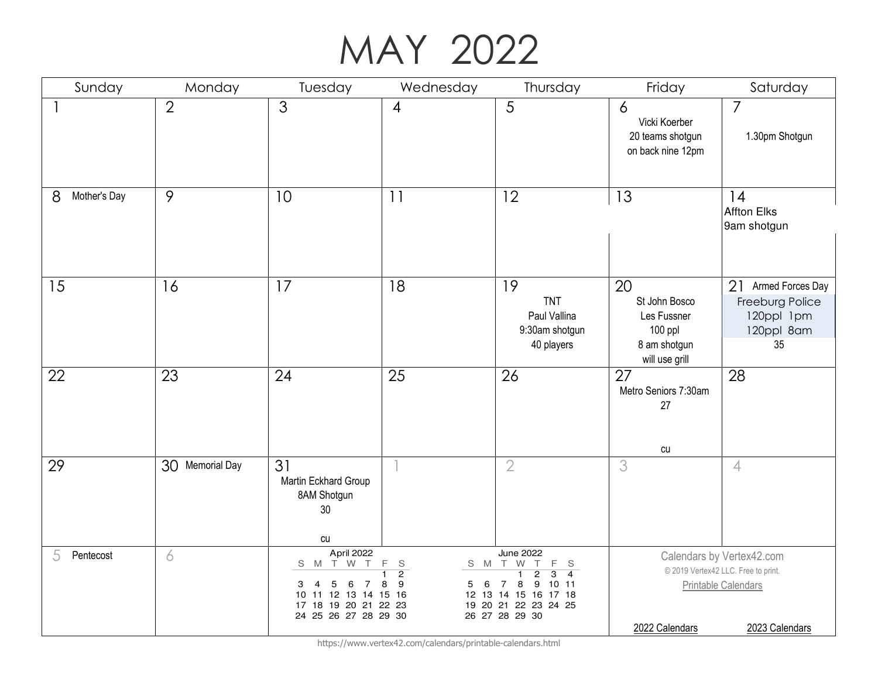#### MAY 2022

| Sunday            | Monday          | Tuesday                                                                                                                                      | Wednesday                                                      | Thursday                                                                                                                                                                                                                | Friday                                                                          | Saturday                                                                                                  |
|-------------------|-----------------|----------------------------------------------------------------------------------------------------------------------------------------------|----------------------------------------------------------------|-------------------------------------------------------------------------------------------------------------------------------------------------------------------------------------------------------------------------|---------------------------------------------------------------------------------|-----------------------------------------------------------------------------------------------------------|
|                   | $\overline{2}$  | 3                                                                                                                                            | $\overline{4}$                                                 | 5                                                                                                                                                                                                                       | $\overline{6}$<br>Vicki Koerber<br>20 teams shotgun<br>on back nine 12pm        | $\overline{7}$<br>1.30pm Shotgun                                                                          |
| 8<br>Mother's Day | 9               | 10                                                                                                                                           | 11                                                             | 12                                                                                                                                                                                                                      | 13                                                                              | 14<br><b>Affton Elks</b><br>9am shotgun                                                                   |
| 15                | 16              | 17                                                                                                                                           | 18                                                             | 19<br><b>TNT</b><br>Paul Vallina<br>9:30am shotgun<br>40 players                                                                                                                                                        | 20<br>St John Bosco<br>Les Fussner<br>100 ppl<br>8 am shotgun<br>will use grill | 21<br>Armed Forces Day<br>Freeburg Police<br>120ppl 1pm<br>120ppl 8am<br>35                               |
| 22                | 23              | 24                                                                                                                                           | 25                                                             | 26                                                                                                                                                                                                                      | 27<br>Metro Seniors 7:30am<br>27<br>cu                                          | 28                                                                                                        |
| 29                | 30 Memorial Day | 31<br>Martin Eckhard Group<br>8AM Shotgun<br>30<br>cu                                                                                        |                                                                | $\overline{2}$                                                                                                                                                                                                          | 3                                                                               | $\overline{4}$                                                                                            |
| 5<br>Pentecost    | 6               | April 2022<br>T W T<br>S<br>M<br>$\overline{4}$<br>5<br>6<br>3<br>-7<br>10 11 12 13 14 15 16<br>17 18 19 20 21 22 23<br>24 25 26 27 28 29 30 | F<br>$\mathsf{S}$<br>S M<br>$\overline{2}$<br>9<br>6<br>8<br>5 | <b>June 2022</b><br>T W<br>F<br>$\top$<br><sub>S</sub><br>$\overline{2}$<br>$\overline{1}$<br>$\overline{3}$<br>$\overline{4}$<br>8<br>9<br>1011<br>7<br>12 13 14 15 16 17 18<br>19 20 21 22 23 24 25<br>26 27 28 29 30 | 2022 Calendars                                                                  | Calendars by Vertex42.com<br>© 2019 Vertex42 LLC. Free to print.<br>Printable Calendars<br>2023 Calendars |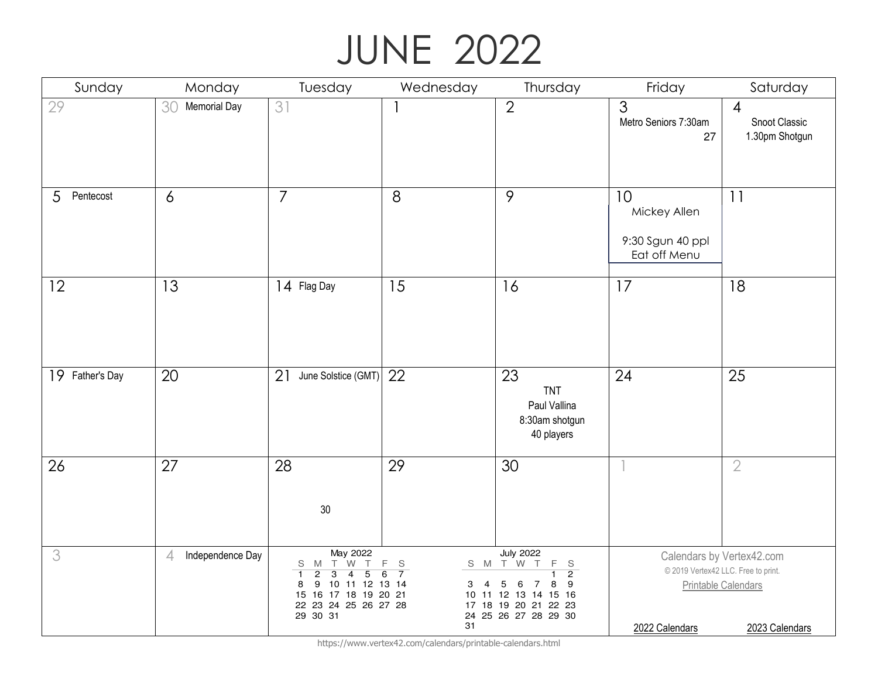## JUNE 2022

| Sunday          | Monday                             | Tuesday                                                                                                                                                                               | Wednesday                                                  | Thursday                                                                                                                                                    | Friday                                                 | Saturday                                                                                                  |
|-----------------|------------------------------------|---------------------------------------------------------------------------------------------------------------------------------------------------------------------------------------|------------------------------------------------------------|-------------------------------------------------------------------------------------------------------------------------------------------------------------|--------------------------------------------------------|-----------------------------------------------------------------------------------------------------------|
| 29              | 30<br><b>Memorial Day</b>          | 31                                                                                                                                                                                    |                                                            | $\overline{2}$                                                                                                                                              | $\overline{3}$<br>Metro Seniors 7:30am<br>27           | $\overline{4}$<br>Snoot Classic<br>1.30pm Shotgun                                                         |
| 5<br>Pentecost  | 6                                  | $\overline{7}$                                                                                                                                                                        | 8                                                          | 9                                                                                                                                                           | 10<br>Mickey Allen<br>9:30 Sgun 40 ppl<br>Eat off Menu | 11                                                                                                        |
| 12              | 13                                 | 14 Flag Day                                                                                                                                                                           | 15                                                         | 16                                                                                                                                                          | 17                                                     | 18                                                                                                        |
| 19 Father's Day | 20                                 | 21<br>June Solstice (GMT)                                                                                                                                                             | 22                                                         | 23<br><b>TNT</b><br>Paul Vallina<br>8:30am shotgun<br>40 players                                                                                            | 24                                                     | 25                                                                                                        |
| 26              | 27                                 | 28<br>30                                                                                                                                                                              | 29                                                         | 30                                                                                                                                                          |                                                        | $\overline{2}$                                                                                            |
| 3               | Independence Day<br>$\overline{4}$ | May 2022<br>S M T W T<br>$\overline{2}$<br>$\overline{3}$<br>$\overline{4}$<br>$\overline{5}$<br>9<br>10 11 12 13 14<br>8<br>15 16 17 18 19 20 21<br>22 23 24 25 26 27 28<br>29 30 31 | F<br>S<br>$\overline{7}$<br>6<br>$\overline{4}$<br>3<br>31 | <b>July 2022</b><br>S M T W T<br>F.<br>S<br>$\overline{2}$<br>5<br>8<br>9<br>6<br>7<br>10 11 12 13 14 15 16<br>17 18 19 20 21 22 23<br>24 25 26 27 28 29 30 | 2022 Calendars                                         | Calendars by Vertex42.com<br>© 2019 Vertex42 LLC. Free to print.<br>Printable Calendars<br>2023 Calendars |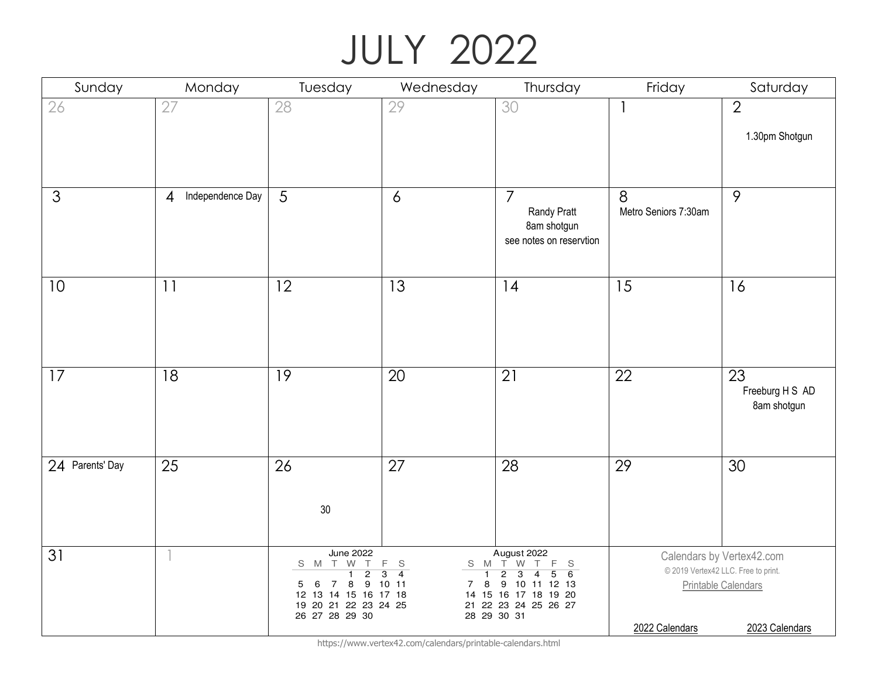# JULY 2022

| Sunday          | Monday                             | Tuesday                                                                                                                                                                                       | Wednesday                                                                    | Thursday                                                                                                                                                                              | Friday                    | Saturday                                                                                                  |
|-----------------|------------------------------------|-----------------------------------------------------------------------------------------------------------------------------------------------------------------------------------------------|------------------------------------------------------------------------------|---------------------------------------------------------------------------------------------------------------------------------------------------------------------------------------|---------------------------|-----------------------------------------------------------------------------------------------------------|
| 26              | 27                                 | 28                                                                                                                                                                                            | 29                                                                           | 30                                                                                                                                                                                    |                           | $\overline{2}$<br>1.30pm Shotgun                                                                          |
| $\mathfrak{S}$  | Independence Day<br>$\overline{4}$ | 5                                                                                                                                                                                             | $\delta$                                                                     | $\overline{7}$<br>Randy Pratt<br>8am shotgun<br>see notes on reservtion                                                                                                               | 8<br>Metro Seniors 7:30am | 9                                                                                                         |
| 10              | 11                                 | 12                                                                                                                                                                                            | 13                                                                           | 14                                                                                                                                                                                    | 15                        | 16                                                                                                        |
| 17              | 18                                 | 19                                                                                                                                                                                            | 20                                                                           | 21                                                                                                                                                                                    | 22                        | 23<br>Freeburg H S AD<br>8am shotgun                                                                      |
| 24 Parents' Day | 25                                 | 26<br>$30\,$                                                                                                                                                                                  | 27                                                                           | 28                                                                                                                                                                                    | 29                        | 30                                                                                                        |
| 31              | $\overline{\mathbb{I}}$            | <b>June 2022</b><br>S M T W T<br>$\overline{2}$<br>$\overline{1}$<br>$\bf8$<br>$\boldsymbol{9}$<br>6<br>$\overline{7}$<br>5<br>12 13 14 15 16 17 18<br>19 20 21 22 23 24 25<br>26 27 28 29 30 | F<br>$\mathbb S$<br>$\overline{4}$<br>3<br>$\overline{1}$<br>8<br>10 11<br>7 | August 2022<br>S M T W<br>T<br>F<br>S<br>$\overline{3}$<br>$\overline{2}$<br>$\overline{4}$<br>6<br>5<br>9 10 11 12 13<br>14 15 16 17 18 19 20<br>21 22 23 24 25 26 27<br>28 29 30 31 | 2022 Calendars            | Calendars by Vertex42.com<br>© 2019 Vertex42 LLC. Free to print.<br>Printable Calendars<br>2023 Calendars |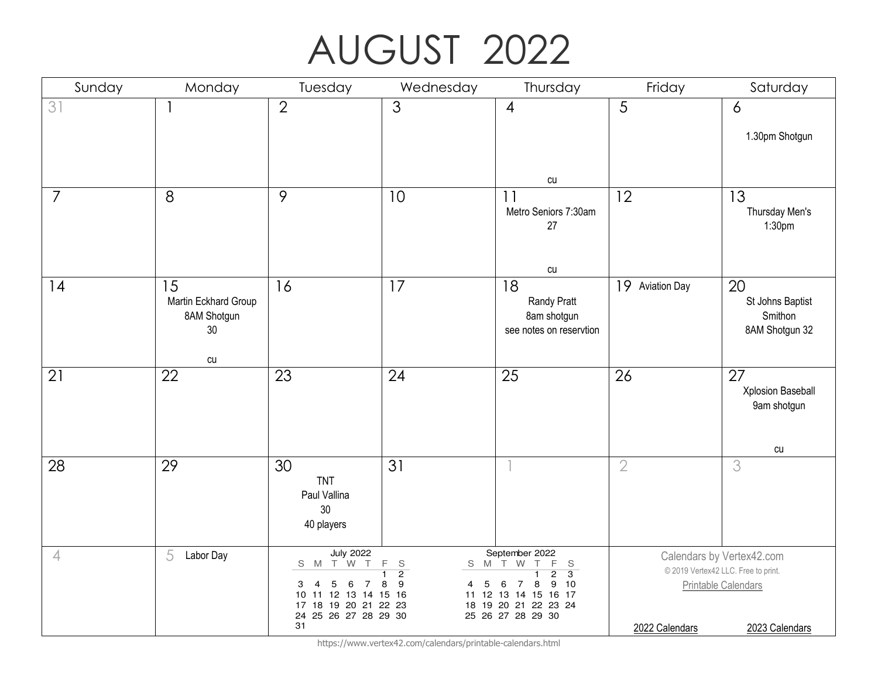## AUGUST 2022

| Sunday         | Monday                                                             | Tuesday                                                                                                                                              | Wednesday                                                                       | Thursday                                                                                                                                                                           | Friday          | Saturday                                                                                                  |
|----------------|--------------------------------------------------------------------|------------------------------------------------------------------------------------------------------------------------------------------------------|---------------------------------------------------------------------------------|------------------------------------------------------------------------------------------------------------------------------------------------------------------------------------|-----------------|-----------------------------------------------------------------------------------------------------------|
| 31             |                                                                    | $\overline{2}$                                                                                                                                       | 3                                                                               | $\overline{4}$                                                                                                                                                                     | $\overline{5}$  | 6<br>1.30pm Shotgun                                                                                       |
|                |                                                                    |                                                                                                                                                      |                                                                                 | cu                                                                                                                                                                                 |                 |                                                                                                           |
| $\overline{7}$ | 8                                                                  | 9                                                                                                                                                    | 10                                                                              | 11<br>Metro Seniors 7:30am<br>27                                                                                                                                                   | 12              | 13<br>Thursday Men's<br>1:30 <sub>pm</sub>                                                                |
|                |                                                                    |                                                                                                                                                      |                                                                                 | cu                                                                                                                                                                                 |                 |                                                                                                           |
| 14             | 15<br>Martin Eckhard Group<br>8AM Shotgun<br>30 <sub>o</sub><br>cu | 16                                                                                                                                                   | 17                                                                              | 18<br>Randy Pratt<br>8am shotgun<br>see notes on reservtion                                                                                                                        | 19 Aviation Day | 20<br>St Johns Baptist<br>Smithon<br>8AM Shotgun 32                                                       |
| 21             | 22                                                                 | 23                                                                                                                                                   | 24                                                                              | 25                                                                                                                                                                                 | 26              | 27<br>Xplosion Baseball<br>9am shotgun<br>cu                                                              |
| 28             | 29                                                                 | 30<br><b>TNT</b><br>Paul Vallina<br>30<br>40 players                                                                                                 | 31                                                                              |                                                                                                                                                                                    | $\overline{2}$  | 3                                                                                                         |
| $\overline{4}$ | 5<br>Labor Day                                                     | <b>July 2022</b><br>S M T W T<br>$\overline{4}$<br>5<br>6<br>3<br>7<br>11 12 13 14 15 16<br>10<br>17 18 19 20 21 22 23<br>24 25 26 27 28 29 30<br>31 | F<br>$\mathbb S$<br>S<br>M<br>$\overline{2}$<br>$\boldsymbol{9}$<br>5<br>8<br>4 | September 2022<br>T W<br>F<br>T.<br>$\mathsf S$<br>$\overline{2}$<br>$\overline{3}$<br>10<br>8<br>9<br>6<br>7<br>11 12 13 14 15 16 17<br>18 19 20 21 22 23 24<br>25 26 27 28 29 30 | 2022 Calendars  | Calendars by Vertex42.com<br>© 2019 Vertex42 LLC. Free to print.<br>Printable Calendars<br>2023 Calendars |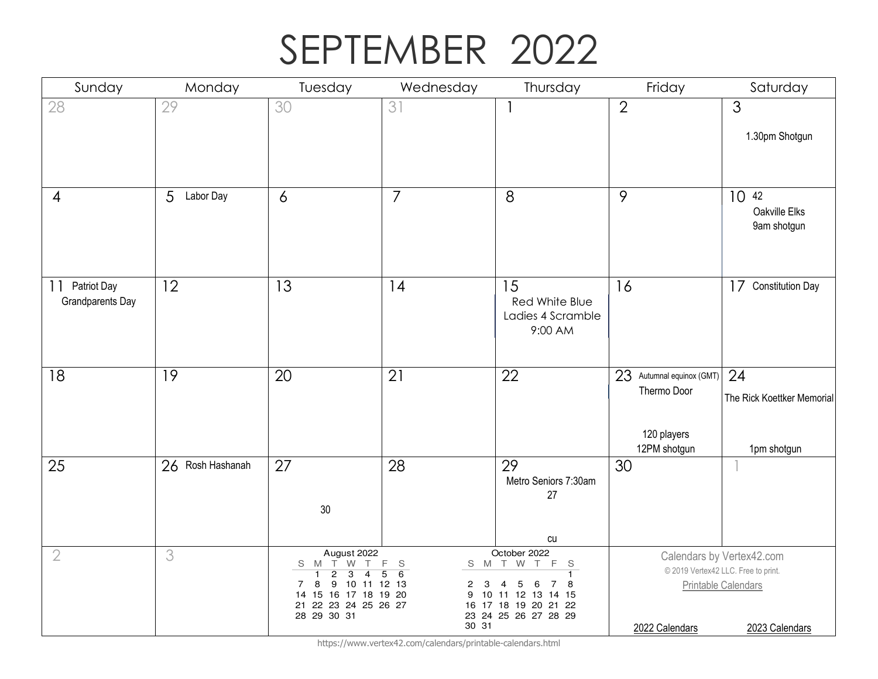## SEPTEMBER 2022

| Sunday                                | Monday                      | Tuesday                                                                                                                                                                                            | Wednesday                   | Thursday                                                                                                                                                  | Friday                                                                  | Saturday                                                                                                  |
|---------------------------------------|-----------------------------|----------------------------------------------------------------------------------------------------------------------------------------------------------------------------------------------------|-----------------------------|-----------------------------------------------------------------------------------------------------------------------------------------------------------|-------------------------------------------------------------------------|-----------------------------------------------------------------------------------------------------------|
| 28                                    | 29                          | 30                                                                                                                                                                                                 | 31                          | $\overline{\phantom{a}}$                                                                                                                                  | $\overline{2}$                                                          | $\overline{3}$<br>1.30pm Shotgun                                                                          |
| 4                                     | $\overline{5}$<br>Labor Day | $\ddot{\delta}$                                                                                                                                                                                    | $\overline{7}$              | 8                                                                                                                                                         | 9                                                                       | 10 42<br>Oakville Elks<br>9am shotgun                                                                     |
| Patriot Day<br>11<br>Grandparents Day | 12                          | 13                                                                                                                                                                                                 | 14                          | 15<br>Red White Blue<br>Ladies 4 Scramble<br>9:00 AM                                                                                                      | 16                                                                      | 17<br><b>Constitution Day</b>                                                                             |
| 18                                    | 19                          | 20                                                                                                                                                                                                 | 21                          | 22                                                                                                                                                        | 23 Autumnal equinox (GMT)<br>Thermo Door<br>120 players<br>12PM shotgun | 24<br>The Rick Koettker Memorial<br>1pm shotgun                                                           |
| 25                                    | 26 Rosh Hashanah            | 27<br>30                                                                                                                                                                                           | 28                          | 29<br>Metro Seniors 7:30am<br>27<br>${\rm\thinspace c}$                                                                                                   | 30                                                                      |                                                                                                           |
| $\overline{2}$                        | 3                           | August 2022<br>S M T W<br>$\top$<br>$\overline{2}$<br>$\overline{3}$<br>$\overline{1}$<br>$\overline{4}$<br>9 10 11 12 13<br>8<br>7<br>14 15 16 17 18 19 20<br>21 22 23 24 25 26 27<br>28 29 30 31 | F.<br>S<br>6<br>5<br>2<br>9 | October 2022<br>F<br>S M T W T<br>$\mathbf S$<br>8<br>3<br>4<br>5<br>7<br>6<br>10 11 12 13 14 15<br>16 17 18 19 20 21 22<br>23 24 25 26 27 28 29<br>30 31 | 2022 Calendars                                                          | Calendars by Vertex42.com<br>© 2019 Vertex42 LLC. Free to print.<br>Printable Calendars<br>2023 Calendars |